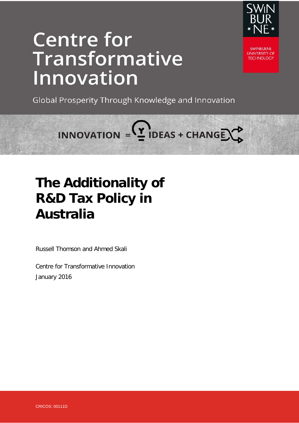

# **Centre for** Transformative Innovation

**SWINRI IRNF UNIVERSITY OF TECHNOLOGY** 

Global Prosperity Through Knowledge and Innovation

INNOVATION =  $2$  IDEAS + CHANGE  $\rightarrow$ 

# **The Additionality of R&D Tax Policy in Australia**

Russell Thomson and Ahmed Skali

Centre for Transformative Innovation January 2016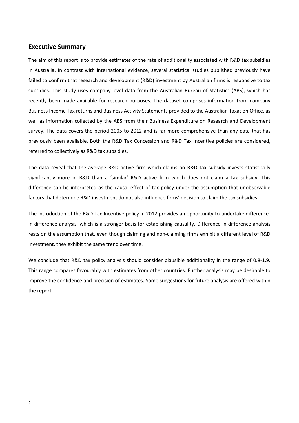# **Executive Summary**

The aim of this report is to provide estimates of the rate of additionality associated with R&D tax subsidies in Australia. In contrast with international evidence, several statistical studies published previously have failed to confirm that research and development (R&D) investment by Australian firms is responsive to tax subsidies. This study uses company-level data from the Australian Bureau of Statistics (ABS), which has recently been made available for research purposes. The dataset comprises information from company Business Income Tax returns and Business Activity Statements provided to the Australian Taxation Office, as well as information collected by the ABS from their Business Expenditure on Research and Development survey. The data covers the period 2005 to 2012 and is far more comprehensive than any data that has previously been available. Both the R&D Tax Concession and R&D Tax Incentive policies are considered, referred to collectively as R&D tax subsidies.

The data reveal that the average R&D active firm which claims an R&D tax subsidy invests statistically significantly more in R&D than a 'similar' R&D active firm which does not claim a tax subsidy. This difference can be interpreted as the causal effect of tax policy under the assumption that unobservable factors that determine R&D investment do not also influence firms' decision to claim the tax subsidies.

The introduction of the R&D Tax Incentive policy in 2012 provides an opportunity to undertake differencein-difference analysis, which is a stronger basis for establishing causality. Difference-in-difference analysis rests on the assumption that, even though claiming and non-claiming firms exhibit a different level of R&D investment, they exhibit the same trend over time.

We conclude that R&D tax policy analysis should consider plausible additionality in the range of 0.8-1.9. This range compares favourably with estimates from other countries. Further analysis may be desirable to improve the confidence and precision of estimates. Some suggestions for future analysis are offered within the report.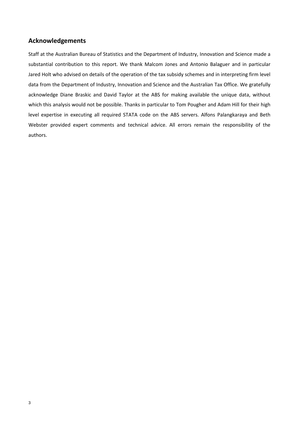# **Acknowledgements**

Staff at the Australian Bureau of Statistics and the Department of Industry, Innovation and Science made a substantial contribution to this report. We thank Malcom Jones and Antonio Balaguer and in particular Jared Holt who advised on details of the operation of the tax subsidy schemes and in interpreting firm level data from the Department of Industry, Innovation and Science and the Australian Tax Office. We gratefully acknowledge Diane Braskic and David Taylor at the ABS for making available the unique data, without which this analysis would not be possible. Thanks in particular to Tom Pougher and Adam Hill for their high level expertise in executing all required STATA code on the ABS servers. Alfons Palangkaraya and Beth Webster provided expert comments and technical advice. All errors remain the responsibility of the authors.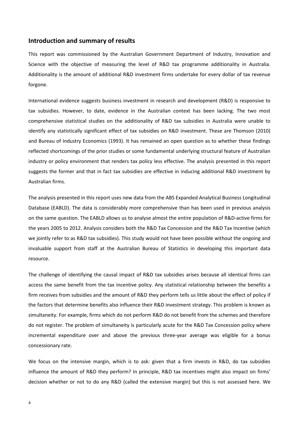# **Introduction and summary of results**

This report was commissioned by the Australian Government Department of Industry, Innovation and Science with the objective of measuring the level of R&D tax programme additionality in Australia. Additionality is the amount of additional R&D investment firms undertake for every dollar of tax revenue forgone.

International evidence suggests business investment in research and development (R&D) is responsive to tax subsidies. However, to date, evidence in the Australian context has been lacking. The two most comprehensive statistical studies on the additionality of R&D tax subsidies in Australia were unable to identify any statistically significant effect of tax subsidies on R&D investment. These are Thomson (2010) and Bureau of Industry Economics (1993). It has remained an open question as to whether these findings reflected shortcomings of the prior studies or some fundamental underlying structural feature of Australian industry or policy environment that renders tax policy less effective. The analysis presented in this report suggests the former and that in fact tax subsidies are effective in inducing additional R&D investment by Australian firms.

The analysis presented in this report uses new data from the ABS Expanded Analytical Business Longitudinal Database (EABLD). The data is considerably more comprehensive than has been used in previous analysis on the same question. The EABLD allows us to analyse almost the entire population of R&D-active firms for the years 2005 to 2012. Analysis considers both the R&D Tax Concession and the R&D Tax Incentive (which we jointly refer to as R&D tax subsidies). This study would not have been possible without the ongoing and invaluable support from staff at the Australian Bureau of Statistics in developing this important data resource.

The challenge of identifying the causal impact of R&D tax subsidies arises because all identical firms can access the same benefit from the tax incentive policy. Any statistical relationship between the benefits a firm receives from subsidies and the amount of R&D they perform tells us little about the effect of policy if the factors that determine benefits also influence their R&D investment strategy. This problem is known as simultaneity. For example, firms which do not perform R&D do not benefit from the schemes and therefore do not register. The problem of simultaneity is particularly acute for the R&D Tax Concession policy where incremental expenditure over and above the previous three-year average was eligible for a bonus concessionary rate.

We focus on the intensive margin, which is to ask: given that a firm invests in R&D, do tax subsidies influence the amount of R&D they perform? In principle, R&D tax incentives might also impact on firms' decision whether or not to do any R&D (called the extensive margin) but this is not assessed here. We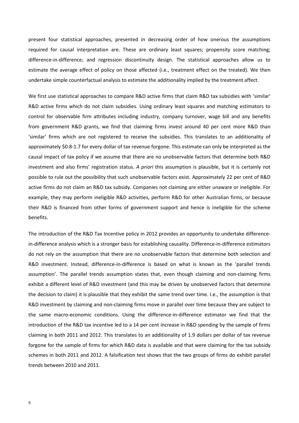present four statistical approaches, presented in decreasing order of how onerous the assumptions required for causal interpretation are. These are ordinary least squares; propensity score matching; difference-in-difference; and regression discontinuity design. The statistical approaches allow us to estimate the average effect of policy on those affected (i.e., treatment effect on the treated). We then undertake simple counterfactual analysis to estimate the additionality implied by the treatment affect.

We first use statistical approaches to compare R&D active firms that claim R&D tax subsidies with 'similar' R&D active firms which do not claim subsidies. Using ordinary least squares and matching estimators to control for observable firm attributes including industry, company turnover, wage bill and any benefits from government R&D grants, we find that claiming firms invest around 40 per cent more R&D than 'similar' firms which are not registered to receive the subsidies. This translates to an additionality of approximately \$0.8-1.7 for every dollar of tax revenue forgone. This estimate can only be interpreted as the causal impact of tax policy if we assume that there are no unobservable factors that determine both R&D investment and also firms' registration status. *A priori* this assumption is plausible, but it is certainly not possible to rule out the possibility that such unobservable factors exist. Approximately 22 per cent of R&D active firms do not claim an R&D tax subsidy. Companies not claiming are either unaware or ineligible. For example, they may perform ineligible R&D activities, perform R&D for other Australian firms, or because their R&D is financed from other forms of government support and hence is ineligible for the scheme benefits.

The introduction of the R&D Tax Incentive policy in 2012 provides an opportunity to undertake differencein-difference analysis which is a stronger basis for establishing causality. Difference-in-difference estimators do not rely on the assumption that there are no unobservable factors that determine both selection and R&D investment. Instead, difference-in-difference is based on what is known as the 'parallel trends assumption'. The parallel trends assumption states that, even though claiming and non-claiming firms exhibit a different level of R&D investment (and this may be driven by unobserved factors that determine the decision to claim) it is plausible that they exhibit the same trend over time. I.e., the assumption is that R&D investment by claiming and non-claiming firms move in parallel over time because they are subject to the same macro-economic conditions. Using the difference-in-difference estimator we find that the introduction of the R&D tax incentive led to a 14 per cent increase in R&D spending by the sample of firms claiming in both 2011 and 2012. This translates to an additionality of 1.9 dollars per dollar of tax revenue forgone for the sample of firms for which R&D data is available and that were claiming for the tax subsidy schemes in both 2011 and 2012. A falsification test shows that the two groups of firms do exhibit parallel trends between 2010 and 2011.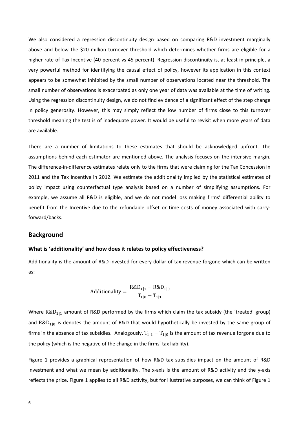We also considered a regression discontinuity design based on comparing R&D investment marginally above and below the \$20 million turnover threshold which determines whether firms are eligible for a higher rate of Tax Incentive (40 percent vs 45 percent). Regression discontinuity is, at least in principle, a very powerful method for identifying the causal effect of policy, however its application in this context appears to be somewhat inhibited by the small number of observations located near the threshold. The small number of observations is exacerbated as only one year of data was available at the time of writing. Using the regression discontinuity design, we do not find evidence of a significant effect of the step change in policy generosity. However, this may simply reflect the low number of firms close to this turnover threshold meaning the test is of inadequate power. It would be useful to revisit when more years of data are available.

There are a number of limitations to these estimates that should be acknowledged upfront. The assumptions behind each estimator are mentioned above. The analysis focuses on the intensive margin. The difference-in-difference estimates relate only to the firms that were claiming for the Tax Concession in 2011 and the Tax Incentive in 2012. We estimate the additionality implied by the statistical estimates of policy impact using counterfactual type analysis based on a number of simplifying assumptions. For example, we assume all R&D is eligible, and we do not model loss making firms' differential ability to benefit from the Incentive due to the refundable offset or time costs of money associated with carryforward/backs.

# **Background**

#### **What is 'additionality' and how does it relates to policy effectiveness?**

Additionality is the amount of R&D invested for every dollar of tax revenue forgone which can be written as:

Additionally = 
$$
\frac{R&D_{1|1} - R&D_{1|0}}{T_{1|0} - T_{1|1}}
$$

Where  $R&D_{111}$  amount of R&D performed by the firms which claim the tax subsidy (the 'treated' group) and  $R&D_{110}$  is denotes the amount of R&D that would hypothetically be invested by the same group of firms in the absence of tax subsidies. Analogously,  $T_{111} - T_{110}$  is the amount of tax revenue forgone due to the policy (which is the negative of the change in the firms' tax liability).

Figure 1 provides a graphical representation of how R&D tax subsidies impact on the amount of R&D investment and what we mean by additionality. The x-axis is the amount of R&D activity and the y-axis reflects the price. Figure 1 applies to all R&D activity, but for illustrative purposes, we can think of Figure 1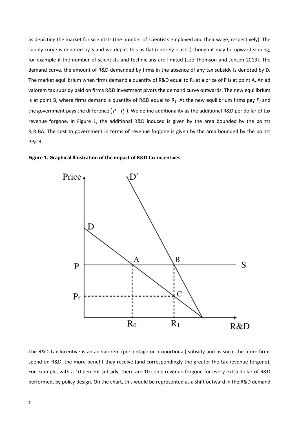as depicting the market for scientists (the number of scientists employed and their wage, respectively). The supply curve is denoted by S and we depict this as flat (entirely elastic) though it may be upward sloping, for example if the number of scientists and technicians are limited (see Thomson and Jensen 2013). The demand curve, the amount of R&D demanded by firms in the absence of any tax subsidy is denoted by D. The market equilibrium when firms demand a quantity of R&D equal to  $R_0$  at a price of P is at point A. An ad valorem tax subsidy paid on firms R&D investment pivots the demand curve outwards. The new equilibrium is at point B, where firms demand a quantity of R&D equal to  $R_1$ . At the new equilibrium firms pay  $P_f$  and the government pays the difference  $(P-P_f)$ . We define additionality as the additional R&D per dollar of tax revenue forgone. In Figure 1, the additional R&D induced is given by the area bounded by the points  $R_0R_1BA$ . The cost to government in terms of revenue forgone is given by the area bounded by the points PP<sub>f</sub>CB.





The R&D Tax Incentive is an ad valorem (percentage or proportional) subsidy and as such, the more firms spend on R&D, the more benefit they receive (and correspondingly the greater the tax revenue forgone). For example, with a 10 percent subsidy, there are 10 cents revenue forgone for every extra dollar of R&D performed, by policy design. On the chart, this would be represented as a shift outward in the R&D demand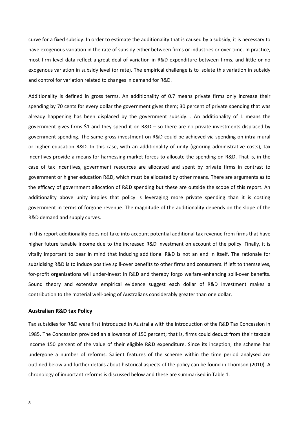curve for a fixed subsidy. In order to estimate the additionality that is caused by a subsidy, it is necessary to have exogenous variation in the rate of subsidy either between firms or industries or over time. In practice, most firm level data reflect a great deal of variation in R&D expenditure between firms, and little or no exogenous variation in subsidy level (or rate). The empirical challenge is to isolate this variation in subsidy and control for variation related to changes in demand for R&D.

Additionality is defined in gross terms. An additionality of 0.7 means private firms only increase their spending by 70 cents for every dollar the government gives them; 30 percent of private spending that was already happening has been displaced by the government subsidy. . An additionality of 1 means the government gives firms \$1 and they spend it on R&D – so there are no private investments displaced by government spending. The same gross investment on R&D could be achieved via spending on intra-mural or higher education R&D. In this case, with an additionality of unity (ignoring administrative costs), tax incentives provide a means for harnessing market forces to allocate the spending on R&D. That is, in the case of tax incentives, government resources are allocated and spent by private firms in contrast to government or higher education R&D, which must be allocated by other means. There are arguments as to the efficacy of government allocation of R&D spending but these are outside the scope of this report. An additionality above unity implies that policy is leveraging more private spending than it is costing government in terms of forgone revenue. The magnitude of the additionality depends on the slope of the R&D demand and supply curves.

In this report additionality does not take into account potential additional tax revenue from firms that have higher future taxable income due to the increased R&D investment on account of the policy. Finally, it is vitally important to bear in mind that inducing additional R&D is not an end in itself. The rationale for subsidising R&D is to induce positive spill-over benefits to other firms and consumers. If left to themselves, for-profit organisations will under-invest in R&D and thereby forgo welfare-enhancing spill-over benefits. Sound theory and extensive empirical evidence suggest each dollar of R&D investment makes a contribution to the material well-being of Australians considerably greater than one dollar.

#### **Australian R&D tax Policy**

Tax subsidies for R&D were first introduced in Australia with the introduction of the R&D Tax Concession in 1985. The Concession provided an allowance of 150 percent; that is, firms could deduct from their taxable income 150 percent of the value of their eligible R&D expenditure. Since its inception, the scheme has undergone a number of reforms. Salient features of the scheme within the time period analysed are outlined below and further details about historical aspects of the policy can be found in Thomson (2010). A chronology of important reforms is discussed below and these are summarised in Table 1.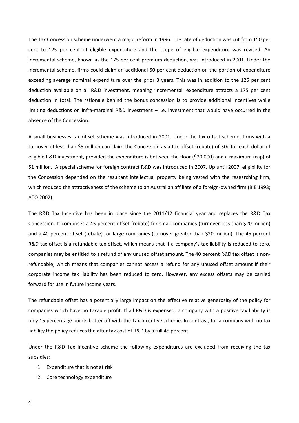The Tax Concession scheme underwent a major reform in 1996. The rate of deduction was cut from 150 per cent to 125 per cent of eligible expenditure and the scope of eligible expenditure was revised. An incremental scheme, known as the 175 per cent premium deduction, was introduced in 2001. Under the incremental scheme, firms could claim an additional 50 per cent deduction on the portion of expenditure exceeding average nominal expenditure over the prior 3 years. This was in addition to the 125 per cent deduction available on all R&D investment, meaning 'incremental' expenditure attracts a 175 per cent deduction in total. The rationale behind the bonus concession is to provide additional incentives while limiting deductions on infra-marginal R&D investment – i.e. investment that would have occurred in the absence of the Concession.

A small businesses tax offset scheme was introduced in 2001. Under the tax offset scheme, firms with a turnover of less than \$5 million can claim the Concession as a tax offset (rebate) of 30c for each dollar of eligible R&D investment, provided the expenditure is between the floor (\$20,000) and a maximum (cap) of \$1 million. A special scheme for foreign contract R&D was introduced in 2007. Up until 2007, eligibility for the Concession depended on the resultant intellectual property being vested with the researching firm, which reduced the attractiveness of the scheme to an Australian affiliate of a foreign-owned firm (BIE 1993; ATO 2002).

The R&D Tax Incentive has been in place since the 2011/12 financial year and replaces the R&D Tax Concession. It comprises a 45 percent offset (rebate) for small companies (turnover less than \$20 million) and a 40 percent offset (rebate) for large companies (turnover greater than \$20 million). The 45 percent R&D tax offset is a refundable tax offset, which means that if a company's tax liability is reduced to zero, companies may be entitled to a refund of any unused offset amount. The 40 percent R&D tax offset is nonrefundable, which means that companies cannot access a refund for any unused offset amount if their corporate income tax liability has been reduced to zero. However, any excess offsets may be carried forward for use in future income years.

The refundable offset has a potentially large impact on the effective relative generosity of the policy for companies which have no taxable profit. If all R&D is expensed, a company with a positive tax liability is only 15 percentage points better off with the Tax Incentive scheme. In contrast, for a company with no tax liability the policy reduces the after tax cost of R&D by a full 45 percent.

Under the R&D Tax Incentive scheme the following expenditures are excluded from receiving the tax subsidies:

- 1. Expenditure that is not at risk
- 2. Core technology expenditure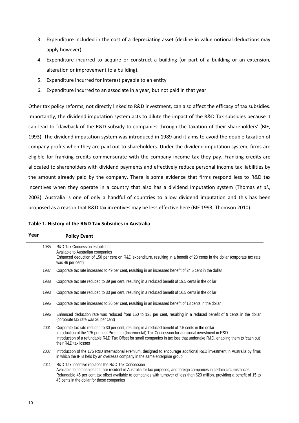- 3. Expenditure included in the cost of a depreciating asset (decline in value notional deductions may apply however)
- 4. Expenditure incurred to acquire or construct a building (or part of a building or an extension, alteration or improvement to a building).
- 5. Expenditure incurred for interest payable to an entity
- 6. Expenditure incurred to an associate in a year, but not paid in that year

Other tax policy reforms, not directly linked to R&D investment, can also affect the efficacy of tax subsidies. Importantly, the dividend imputation system acts to dilute the impact of the R&D Tax subsidies because it can lead to 'clawback of the R&D subsidy to companies through the taxation of their shareholders' (BIE, 1993). The dividend imputation system was introduced in 1989 and it aims to avoid the double taxation of company profits when they are paid out to shareholders. Under the dividend imputation system, firms are eligible for franking credits commensurate with the company income tax they pay. Franking credits are allocated to shareholders with dividend payments and effectively reduce personal income tax liabilities by the amount already paid by the company. There is some evidence that firms respond less to R&D tax incentives when they operate in a country that also has a dividend imputation system (Thomas *et al*., 2003). Australia is one of only a handful of countries to allow dividend imputation and this has been proposed as a reason that R&D tax incentives may be less effective here (BIE 1993; Thomson 2010).

| Table 1. History of the R&D Tax Subsidies in Australia |  |  |
|--------------------------------------------------------|--|--|
|--------------------------------------------------------|--|--|

| Year | <b>Policy Event</b>                                                                                                                                                                                                                                                                                                                                                   |
|------|-----------------------------------------------------------------------------------------------------------------------------------------------------------------------------------------------------------------------------------------------------------------------------------------------------------------------------------------------------------------------|
| 1985 | R&D Tax Concession established<br>Available to Australian companies<br>Enhanced deduction of 150 per cent on R&D expenditure, resulting in a benefit of 23 cents in the dollar (corporate tax rate<br>was 46 per cent)                                                                                                                                                |
| 1987 | Corporate tax rate increased to 49 per cent, resulting in an increased benefit of 24.5 cent in the dollar                                                                                                                                                                                                                                                             |
| 1988 | Corporate tax rate reduced to 39 per cent, resulting in a reduced benefit of 19.5 cents in the dollar                                                                                                                                                                                                                                                                 |
| 1993 | Corporate tax rate reduced to 33 per cent, resulting in a reduced benefit of 16.5 cents in the dollar                                                                                                                                                                                                                                                                 |
| 1995 | Corporate tax rate increased to 36 per cent, resulting in an increased benefit of 18 cents in the dollar                                                                                                                                                                                                                                                              |
| 1996 | Enhanced deduction rate was reduced from 150 to 125 per cent, resulting in a reduced benefit of 9 cents in the dollar<br>(corporate tax rate was 36 per cent)                                                                                                                                                                                                         |
| 2001 | Corporate tax rate reduced to 30 per cent, resulting in a reduced benefit of 7.5 cents in the dollar<br>Introduction of the 175 per cent Premium (Incremental) Tax Concession for additional investment in R&D<br>Introduction of a refundable R&D Tax Offset for small companies in tax loss that undertake R&D, enabling them to 'cash out'<br>their R&D tax losses |
| 2007 | Introduction of the 175 R&D International Premium, designed to encourage additional R&D investment in Australia by firms<br>in which the IP is held by an overseas company in the same enterprise group                                                                                                                                                               |
| 2011 | R&D Tax Incentive replaces the R&D Tax Concession<br>Available to companies that are resident in Australia for tax purposes, and foreign companies in certain circumstances<br>Refundable 45 per cent tax offset available to companies with turnover of less than \$20 million, providing a benefit of 15 to<br>45 cents in the dollar for these companies           |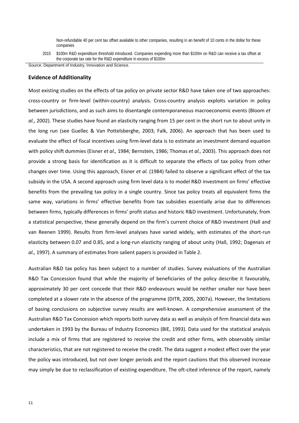Non-refundable 40 per cent tax offset available to other companies, resulting in an benefit of 10 cents in the dollar for these companies

Source: Department of Industry, Innovation and Science.

#### **Evidence of Additionality**

Most existing studies on the effects of tax policy on private sector R&D have taken one of two approaches: cross-country or firm-level (within-country) analysis. Cross-country analysis exploits variation in policy between jurisdictions, and as such aims to disentangle contemporaneous macroeconomic events (Bloom *et al.,* 2002). These studies have found an elasticity ranging from 15 per cent in the short run to about unity in the long run (see Guellec & Van Pottelsberghe, 2003; Falk, 2006). An approach that has been used to evaluate the effect of fiscal incentives using firm-level data is to estimate an investment demand equation with policy shift dummies (Eisner *et al.,* 1984; Bernstein, 1986; Thomas *et al.,* 2003). This approach does not provide a strong basis for identification as it is difficult to separate the effects of tax policy from other changes over time. Using this approach, Eisner *et al.* (1984) failed to observe a significant effect of the tax subsidy in the USA. A second approach using firm level data is to model R&D investment on firms' effective benefits from the prevailing tax policy in a single country. Since tax policy treats all equivalent firms the same way, variations in firms' effective benefits from tax subsidies essentially arise due to differences between firms, typically differences in firms' profit status and historic R&D investment. Unfortunately, from a statistical perspective, these generally depend on the firm's current choice of R&D investment (Hall and van Reenen 1999). Results from firm-level analyses have varied widely, with estimates of the short-run elasticity between 0.07 and 0.85, and a long-run elasticity ranging of about unity (Hall, 1992; Dagenais *et al.,* 1997). A summary of estimates from salient papers is provided in Table 2.

Australian R&D tax policy has been subject to a number of studies. Survey evaluations of the Australian R&D Tax Concession found that while the majority of beneficiaries of the policy describe it favourably, approximately 30 per cent concede that their R&D endeavours would be neither smaller nor have been completed at a slower rate in the absence of the programme (DITR, 2005, 2007a). However, the limitations of basing conclusions on subjective survey results are well-known. A comprehensive assessment of the Australian R&D Tax Concession which reports both survey data as well as analysis of firm financial data was undertaken in 1993 by the Bureau of Industry Economics (BIE, 1993). Data used for the statistical analysis include a mix of firms that are registered to receive the credit and other firms, with observably similar characteristics, that are not registered to receive the credit. The data suggest a modest effect over the year the policy was introduced, but not over longer periods and the report cautions that this observed increase may simply be due to reclassification of existing expenditure. The oft-cited inference of the report, namely

<sup>2015</sup> \$100m R&D expenditure threshold introduced. Companies expending more than \$100m on R&D can receive a tax offset at the corporate tax rate for the R&D expenditure in excess of \$100m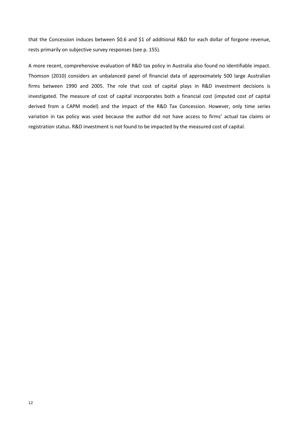that the Concession induces between \$0.6 and \$1 of additional R&D for each dollar of forgone revenue, rests primarily on subjective survey responses (see p. 155).

A more recent, comprehensive evaluation of R&D tax policy in Australia also found no identifiable impact. Thomson (2010) considers an unbalanced panel of financial data of approximately 500 large Australian firms between 1990 and 2005. The role that cost of capital plays in R&D investment decisions is investigated. The measure of cost of capital incorporates both a financial cost (imputed cost of capital derived from a CAPM model) and the impact of the R&D Tax Concession. However, only time series variation in tax policy was used because the author did not have access to firms' actual tax claims or registration status. R&D investment is not found to be impacted by the measured cost of capital.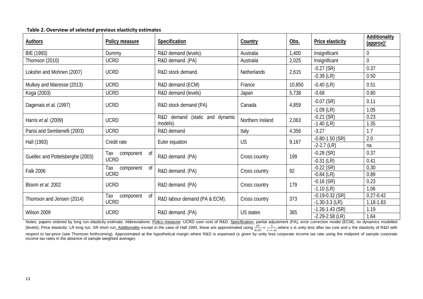| <b>Authors</b>                   | Policy measure         | Specification                  | Country            | Obs.   | <b>Price elasticity</b> | Additionality<br>$\frac{1}{2}$ (approx) <sup>t</sup> |
|----------------------------------|------------------------|--------------------------------|--------------------|--------|-------------------------|------------------------------------------------------|
| BIE (1993)                       | Dummy                  | R&D demand (levels).           | Australia          | 1,400  | Insignificant           | $\mathbf 0$                                          |
| Thomson (2010)                   | <b>UCRD</b>            | R&D demand. (PA)               | Australia          | 2,025  | Insignificant           | $\overline{0}$                                       |
| Lokshin and Mohnen (2007)        | <b>UCRD</b>            | R&D stock demand.              | <b>Netherlands</b> | 2,615  | $-0.27$ (SR)            | 0.37                                                 |
|                                  |                        |                                |                    |        | $-0.39$ (LR)            | 0.50                                                 |
| Mulkey and Mairesse (2013)       | <b>UCRD</b>            | R&D demand (ECM)               | France             | 10,850 | $-0.40$ (LR)            | 0.51                                                 |
| Koga (2003)                      | <b>UCRD</b>            | R&D demand (levels)            | Japan              | 5,738  | $-0.68$                 | 0.80                                                 |
| Dagenais et al. (1997)           | <b>UCRD</b>            | R&D stock demand (PA)          | Canada             | 4,859  | $-0.07$ (SR)            | 0.11                                                 |
|                                  |                        |                                |                    |        | $-1.09$ (LR)            | 1.05                                                 |
| Harris <i>et al.</i> (2009)      | <b>UCRD</b>            | R&D demand (static and dynamic | Northern Ireland   | 2,063  | $-0.21$ (SR)            | 0.23                                                 |
|                                  |                        | models).                       |                    |        | $-1.40$ (LR)            | 1.35                                                 |
| Parisi and Sembenelli (2003)     | <b>UCRD</b>            | R&D demand                     | Italy              | 4,356  | $-3.27$                 | 1.7                                                  |
| Hall (1993)                      | Credit rate            | Euler equation                 | <b>US</b>          | 9,167  | $-0.80 - 1.50$ (SR)     | 2.0                                                  |
|                                  |                        |                                |                    |        | $-2-2.7$ (LR)           | na                                                   |
| Guellec and Pottelsberghe (2003) | Тах<br>component<br>0f | R&D demand. (PA)               | Cross country      | 199    | $-0.28$ (SR)            | 0.37                                                 |
|                                  | <b>UCRD</b>            |                                |                    |        | $-0.31$ (LR)            | 0.41                                                 |
| Falk 2006                        | component<br>0f<br>Тах | R&D demand. (PA)               | Cross country      | 92     | $-0.22$ (SR)            | 0.30                                                 |
|                                  | <b>UCRD</b>            |                                |                    |        | $-0.84$ (LR)            | 0.89                                                 |
| Bloom et al. 2002                | <b>UCRD</b>            | R&D demand. (PA)               | Cross country      | 179    | $-0.16$ (SR)            | 0.23                                                 |
|                                  |                        |                                |                    |        | $-1.10$ (LR)            | 1.06                                                 |
| Thomson and Jensen (2014)        | Тах<br>0f<br>component | R&D labour demand (PA & ECM).  | Cross country      | 373    | $-0.19 - 0.32$ (SR)     | $0.27 - 0.42$                                        |
|                                  | <b>UCRD</b>            |                                |                    |        | $-1.30 - 3.3$ (LR)      | 1.18-1.83                                            |
| Wilson 2009                      | <b>UCRD</b>            | R&D demand. (PA)               | <b>US</b> states   | 365    | $-1.26 - 1.43$ (SR)     | 1.19                                                 |
|                                  |                        |                                |                    |        | $-2.29 - 2.58$ (LR)     | 1.64                                                 |

#### **Table 2. Overview of selected previous elasticity estimates**

Notes: papers ordered by long run elasticity estimate. Abbreviations: Policy measure: UCRD user cost of R&D. Specification: partial adjustment (PA), error correction model (ECM), no dynamics modelled (levels); Price elasticity: LR long run, SR short run<u>. Additionality</u> except in the case of Hall 1993, these are approximated using  $\frac{dR}{d(sR)} = \frac{\eta}{1-s-\eta s}$ , where s is unity less after tax cost and  $\eta$  the elasticity o respect to tax-price (see Thomson forthcoming). Approximated at the hypothetical margin where R&D is expensed (s given by unity less corporate income tax rate using the midpoint of sample corporate income tax rates in the absence of sample weighted average).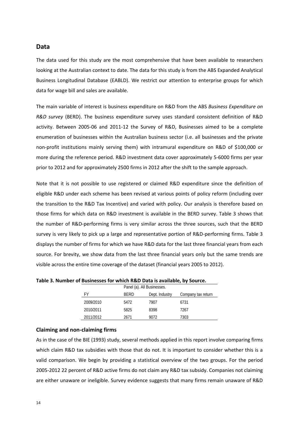#### **Data**

The data used for this study are the most comprehensive that have been available to researchers looking at the Australian context to date. The data for this study is from the ABS Expanded Analytical Business Longitudinal Database (EABLD). We restrict our attention to enterprise groups for which data for wage bill and sales are available.

The main variable of interest is business expenditure on R&D from the ABS *Business Expenditure on R&D survey* (BERD). The business expenditure survey uses standard consistent definition of R&D activity. Between 2005-06 and 2011-12 the Survey of R&D, Businesses aimed to be a complete enumeration of businesses within the Australian business sector (i.e. all businesses and the private non-profit institutions mainly serving them) with intramural expenditure on R&D of \$100,000 or more during the reference period. R&D investment data cover approximately 5-6000 firms per year prior to 2012 and for approximately 2500 firms in 2012 after the shift to the sample approach.

Note that it is not possible to use registered or claimed R&D expenditure since the definition of eligible R&D under each scheme has been revised at various points of policy reform (including over the transition to the R&D Tax Incentive) and varied with policy. Our analysis is therefore based on those firms for which data on R&D investment is available in the BERD survey. Table 3 shows that the number of R&D-performing firms is very similar across the three sources, such that the BERD survey is very likely to pick up a large and representative portion of R&D-performing firms. Table 3 displays the number of firms for which we have R&D data for the last three financial years from each source. For brevity, we show data from the last three financial years only but the same trends are visible across the entire time coverage of the dataset (financial years 2005 to 2012).

|           |             | Panel (a). All Businesses. |                    |  |  |  |
|-----------|-------------|----------------------------|--------------------|--|--|--|
| FY        | <b>BERD</b> | Dept. Industry             | Company tax return |  |  |  |
| 2009/2010 | 5472        | 7907                       | 6731               |  |  |  |
| 2010/2011 | 5825        | 8398                       | 7267               |  |  |  |
| 2011/2012 | 2671        | 9072                       | 7303               |  |  |  |

**Table 3. Number of Businesses for which R&D Data is available, by Source.**

#### **Claiming and non-claiming firms**

As in the case of the BIE (1993) study, several methods applied in this report involve comparing firms which claim R&D tax subsidies with those that do not. It is important to consider whether this is a valid comparison. We begin by providing a statistical overview of the two groups. For the period 2005-2012 22 percent of R&D active firms do not claim any R&D tax subsidy. Companies not claiming are either unaware or ineligible. Survey evidence suggests that many firms remain unaware of R&D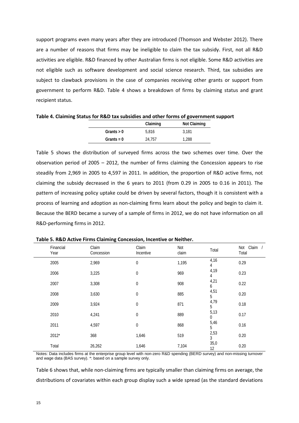support programs even many years after they are introduced (Thomson and Webster 2012). There are a number of reasons that firms may be ineligible to claim the tax subsidy. First, not all R&D activities are eligible. R&D financed by other Australian firms is not eligible. Some R&D activities are not eligible such as software development and social science research. Third, tax subsidies are subject to clawback provisions in the case of companies receiving other grants or support from government to perform R&D. Table 4 shows a breakdown of firms by claiming status and grant recipient status.

|              |          | -            |
|--------------|----------|--------------|
|              | Claiming | Not Claiming |
| Grants $> 0$ | 5.816    | 3.181        |
| Grants = $0$ | 24.757   | 1.288        |

**Table 4. Claiming Status for R&D tax subsidies and other forms of government support**

Table 5 shows the distribution of surveyed firms across the two schemes over time. Over the observation period of 2005 – 2012, the number of firms claiming the Concession appears to rise steadily from 2,969 in 2005 to 4,597 in 2011. In addition, the proportion of R&D active firms, not claiming the subsidy decreased in the 6 years to 2011 (from 0.29 in 2005 to 0.16 in 2011). The pattern of increasing policy uptake could be driven by several factors, though it is consistent with a process of learning and adoption as non-claiming firms learn about the policy and begin to claim it. Because the BERD became a survey of a sample of firms in 2012, we do not have information on all R&D-performing firms in 2012.

| Financial<br>Year | Claim<br>Concession | Claim<br>Incentive | Not<br>claim | Total      | Claim /<br>Not<br>Total |
|-------------------|---------------------|--------------------|--------------|------------|-------------------------|
| 2005              | 2,969               | $\mathbf 0$        | 1,195        | 4,16<br>4  | 0.29                    |
| 2006              | 3,225               | $\mathbf 0$        | 969          | 4,19<br>4  | 0.23                    |
| 2007              | 3,308               | $\mathbf 0$        | 908          | 4,21<br>6  | 0.22                    |
| 2008              | 3,630               | $\mathbf 0$        | 885          | 4,51<br>5  | 0.20                    |
| 2009              | 3,924               | $\mathbf{0}$       | 871          | 4,79<br>5  | 0.18                    |
| 2010              | 4,241               | $\mathbf 0$        | 889          | 5,13<br>0  | 0.17                    |
| 2011              | 4,597               | $\mathbf 0$        | 868          | 5,46<br>5  | 0.16                    |
| 2012*             | 368                 | 1,646              | 519          | 2,53<br>3  | 0.20                    |
| Total             | 26,262              | 1,646              | 7,104        | 35,0<br>12 | 0.20                    |

**Table 5. R&D Active Firms Claiming Concession, Incentive or Neither.**

Notes: Data includes firms at the enterprise group level with non-zero R&D spending (BERD survey) and non-missing turnover and wage data (BAS survey). \*: based on a sample survey only.

Table 6 shows that, while non-claiming firms are typically smaller than claiming firms on average, the distributions of covariates within each group display such a wide spread (as the standard deviations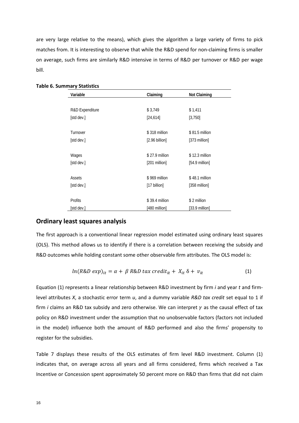are very large relative to the means), which gives the algorithm a large variety of firms to pick matches from. It is interesting to observe that while the R&D spend for non-claiming firms is smaller on average, such firms are similarly R&D intensive in terms of R&D per turnover or R&D per wage bill.

| Variable        | Claiming                 | <b>Not Claiming</b>      |
|-----------------|--------------------------|--------------------------|
|                 |                          |                          |
| R&D Expenditure | \$3,749                  | \$1,411                  |
| [std dev.]      | [24, 614]                | [3,750]                  |
| Turnover        | \$318 million            | \$81.5 million           |
| [std dev.]      | $[2.96 \text{ billion}]$ | $[373$ million           |
| Wages           | \$27.9 million           | \$12.3 million           |
| [std dev.]      | [201 million]            | $[54.9 \text{ million}]$ |
| Assets          | \$969 million            | \$48.1 million           |
| [std dev.]      | [17 billion]             | [358 million]            |
| Profits         | \$39.4 million           | \$2 million              |
| [std dev.]      | [480 million]            | $[33.9 \text{ million}]$ |

#### **Table 6. Summary Statistics**

#### **Ordinary least squares analysis**

The first approach is a conventional linear regression model estimated using ordinary least squares (OLS). This method allows us to identify if there is a correlation between receiving the subsidy and R&D outcomes while holding constant some other observable firm attributes. The OLS model is:

$$
ln(R\&D \exp)_{it} = \alpha + \beta R\&D \text{ tax credit}_{it} + X_{it} \delta + v_{it}
$$
 (1)

Equation (1) represents a linear relationship between R&D investment by firm *i* and year *t* and firmlevel attributes *X*, a stochastic error term *u*, and a dummy variable *R&D tax credit* set equal to 1 if firm *i* claims an R&D tax subsidy and zero otherwise. We can interpret  $\gamma$  as the causal effect of tax policy on R&D investment under the assumption that no unobservable factors (factors not included in the model) influence both the amount of R&D performed and also the firms' propensity to register for the subsidies.

Table 7 displays these results of the OLS estimates of firm level R&D investment. Column (1) indicates that, on average across all years and all firms considered, firms which received a Tax Incentive or Concession spent approximately 50 percent more on R&D than firms that did not claim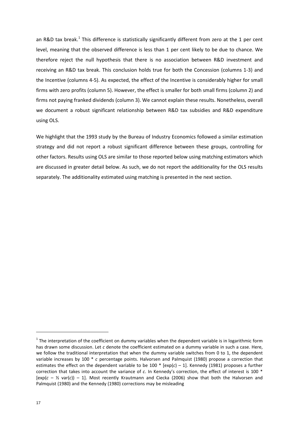an R&D tax break.<sup>[1](#page-16-0)</sup> This difference is statistically significantly different from zero at the 1 per cent level, meaning that the observed difference is less than 1 per cent likely to be due to chance. We therefore reject the null hypothesis that there is no association between R&D investment and receiving an R&D tax break. This conclusion holds true for both the Concession (columns 1-3) and the Incentive (columns 4-5). As expected, the effect of the Incentive is considerably higher for small firms with zero profits (column 5). However, the effect is smaller for both small firms (column 2) and firms not paying franked dividends (column 3). We cannot explain these results. Nonetheless, overall we document a robust significant relationship between R&D tax subsidies and R&D expenditure using OLS.

We highlight that the 1993 study by the Bureau of Industry Economics followed a similar estimation strategy and did not report a robust significant difference between these groups, controlling for other factors. Results using OLS are similar to those reported below using matching estimators which are discussed in greater detail below. As such, we do not report the additionality for the OLS results separately. The additionality estimated using matching is presented in the next section.

 $\overline{a}$ 

<span id="page-16-0"></span> $1$  The interpretation of the coefficient on dummy variables when the dependent variable is in logarithmic form has drawn some discussion. Let *c* denote the coefficient estimated on a dummy variable in such a case. Here, we follow the traditional interpretation that when the dummy variable switches from 0 to 1, the dependent variable increases by 100 \* *c* percentage points. Halvorsen and Palmquist (1980) propose a correction that estimates the effect on the dependent variable to be 100 \* [exp(*c*) – 1]. Kennedy (1981) proposes a further correction that takes into account the variance of *c*. In Kennedy's correction, the effect of interest is 100 \*  $[exp(c - \frac{1}{2} \text{ var}(c)) - 1]$ . Most recently Krautmann and Ciecka (2006) show that both the Halvorsen and Palmquist (1980) and the Kennedy (1980) corrections may be misleading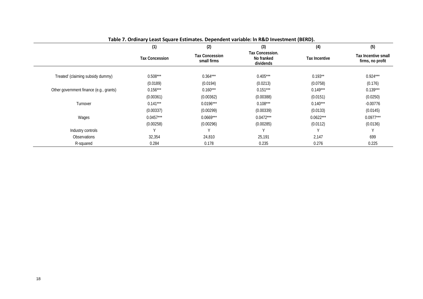|                                         | (1)                   | (2)                                  | (3)                                        | (4)                  | (5)                                     |
|-----------------------------------------|-----------------------|--------------------------------------|--------------------------------------------|----------------------|-----------------------------------------|
|                                         | <b>Tax Concession</b> | <b>Tax Concession</b><br>small firms | Tax Concession.<br>No franked<br>dividends | <b>Tax Incentive</b> | Tax Incentive small<br>firms, no profit |
| Treated' (claiming subsidy dummy)       | $0.508***$            | $0.364***$                           | $0.405***$                                 | $0.193**$            | $0.924***$                              |
|                                         | (0.0189)              | (0.0194)                             | (0.0213)                                   | (0.0758)             | (0.176)                                 |
| Other government finance (e.g., grants) | $0.156***$            | $0.160***$                           | $0.151***$                                 | $0.149***$           | $0.139***$                              |
|                                         | (0.00361)             | (0.00362)                            | (0.00388)                                  | (0.0151)             | (0.0250)                                |
| Turnover                                | $0.141***$            | $0.0196***$                          | $0.108***$                                 | $0.140***$           | $-0.00776$                              |
|                                         | (0.00337)             | (0.00299)                            | (0.00339)                                  | (0.0133)             | (0.0145)                                |
| Wages                                   | $0.0457***$           | $0.0669***$                          | $0.0472***$                                | $0.0622***$          | $0.0977***$                             |
|                                         | (0.00258)             | (0.00296)                            | (0.00285)                                  | (0.0112)             | (0.0136)                                |
| Industry controls                       |                       | V                                    |                                            |                      |                                         |
| <b>Observations</b>                     | 32,354                | 24,810                               | 25,191                                     | 2,147                | 699                                     |
| R-squared                               | 0.284                 | 0.178                                | 0.235                                      | 0.276                | 0.225                                   |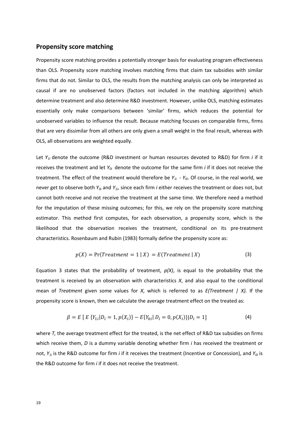# **Propensity score matching**

Propensity score matching provides a potentially stronger basis for evaluating program effectiveness than OLS. Propensity score matching involves matching firms that claim tax subsidies with similar firms that do not. Similar to OLS, the results from the matching analysis can only be interpreted as causal if are no unobserved factors (factors not included in the matching algorithm) which determine treatment and also determine R&D investment. However, unlike OLS, matching estimates essentially only make comparisons between 'similar' firms, which reduces the potential for unobserved variables to influence the result. Because matching focuses on comparable firms, firms that are very dissimilar from all others are only given a small weight in the final result, whereas with OLS, all observations are weighted equally.

Let *Y<sub>1i</sub>* denote the outcome (R&D investment or human resources devoted to R&D) for firm *i* if it receives the treatment and let *Y0i* denote the outcome for the same firm *i* if it does not receive the treatment. The effect of the treatment would therefore be  $Y_{1i}$  -  $Y_{0i}$ . Of course, in the real world, we never get to observe both *Y0i* and *Y1i*, since each firm *i* either receives the treatment or does not, but cannot both receive and not receive the treatment at the same time. We therefore need a method for the imputation of these missing outcomes; for this, we rely on the propensity score matching estimator. This method first computes, for each observation, a propensity score, which is the likelihood that the observation receives the treatment, conditional on its pre-treatment characteristics. Rosenbaum and Rubin (1983) formally define the propensity score as:

$$
p(X) = Pr(Treatment = 1 | X) = E(Treatment | X)
$$
\n(3)

Equation 3 states that the probability of treatment,  $p(X)$ , is equal to the probability that the treatment is received by an observation with characteristics *X*, and also equal to the conditional mean of *Treatment* given some values for *X*, which is referred to as *E(Treatment | X).* If the propensity score is known, then we calculate the average treatment effect on the treated as:

$$
\beta = E \left[ E \left\{ Y_{1i} | D_i = 1, p(X_i) \right\} - E \{ Y_{0i} | D_i = 0, p(X_i) \} | D_i = 1 \right] \tag{4}
$$

where *T*, the average treatment effect for the treated, is the net effect of R&D tax subsidies on firms which receive them, *D* is a dummy variable denoting whether firm *i* has received the treatment or not, *Y*<sub>1</sub>*i* is the R&D outcome for firm *i* if it receives the treatment (Incentive or Concession), and *Y*<sub>0</sub>*i* is the R&D outcome for firm *i* if it does not receive the treatment.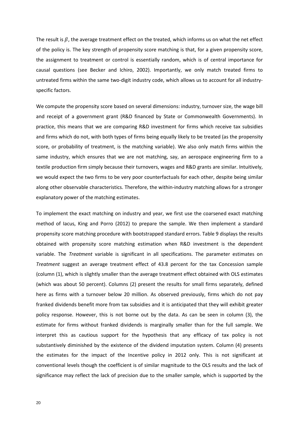The result is  $\beta$ , the average treatment effect on the treated, which informs us on what the net effect of the policy is. The key strength of propensity score matching is that, for a given propensity score, the assignment to treatment or control is essentially random, which is of central importance for causal questions (see Becker and Ichiro, 2002). Importantly, we only match treated firms to untreated firms within the same two-digit industry code, which allows us to account for all industryspecific factors.

We compute the propensity score based on several dimensions: industry, turnover size, the wage bill and receipt of a government grant (R&D financed by State or Commonwealth Governments). In practice, this means that we are comparing R&D investment for firms which receive tax subsidies and firms which do not, with both types of firms being equally likely to be treated (as the propensity score, or probability of treatment, is the matching variable). We also only match firms within the same industry, which ensures that we are not matching, say, an aerospace engineering firm to a textile production firm simply because their turnovers, wages and R&D grants are similar. Intuitively, we would expect the two firms to be very poor counterfactuals for each other, despite being similar along other observable characteristics. Therefore, the within-industry matching allows for a stronger explanatory power of the matching estimates.

To implement the exact matching on industry and year, we first use the coarsened exact matching method of Iacus, King and Porro (2012) to prepare the sample. We then implement a standard propensity score matching procedure with bootstrapped standard errors. Table 9 displays the results obtained with propensity score matching estimation when R&D investment is the dependent variable. The *Treatment* variable is significant in all specifications. The parameter estimates on *Treatment* suggest an average treatment effect of 43.8 percent for the tax Concession sample (column (1), which is slightly smaller than the average treatment effect obtained with OLS estimates (which was about 50 percent). Columns (2) present the results for small firms separately, defined here as firms with a turnover below 20 million. As observed previously, firms which do not pay franked dividends benefit more from tax subsidies and it is anticipated that they will exhibit greater policy response. However, this is not borne out by the data. As can be seen in column (3), the estimate for firms without franked dividends is marginally smaller than for the full sample. We interpret this as cautious support for the hypothesis that any efficacy of tax policy is not substantively diminished by the existence of the dividend imputation system. Column (4) presents the estimates for the impact of the Incentive policy in 2012 only. This is not significant at conventional levels though the coefficient is of similar magnitude to the OLS results and the lack of significance may reflect the lack of precision due to the smaller sample, which is supported by the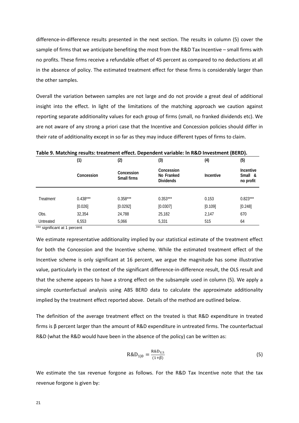difference-in-difference results presented in the next section. The results in column (5) cover the sample of firms that we anticipate benefiting the most from the R&D Tax Incentive – small firms with no profits. These firms receive a refundable offset of 45 percent as compared to no deductions at all in the absence of policy. The estimated treatment effect for these firms is considerably larger than the other samples.

Overall the variation between samples are not large and do not provide a great deal of additional insight into the effect. In light of the limitations of the matching approach we caution against reporting separate additionality values for each group of firms (small, no franked dividends etc). We are not aware of any strong a priori case that the Incentive and Concession policies should differ in their rate of additionality except in so far as they may induce different types of firms to claim.

|           | -<br>(1)   | (2)                       | (3)                                          | . .<br>(4)       | $\overline{\phantom{a}}$<br>(5)   |
|-----------|------------|---------------------------|----------------------------------------------|------------------|-----------------------------------|
|           | Concession | Concession<br>Small firms | Concession<br>No Franked<br><b>Dividends</b> | <b>Incentive</b> | Incentive<br>Small &<br>no profit |
|           |            |                           |                                              |                  |                                   |
| Treatment | $0.438***$ | $0.358***$                | $0.353***$                                   | 0.153            | $0.823***$                        |
|           | [0.026]    | [0.0292]                  | [0.0307]                                     | [0.109]          | [0.248]                           |
| Obs.      | 32,354     | 24,788                    | 25,182                                       | 2,147            | 670                               |
| Untreated | 6,553      | 5,066                     | 5,331                                        | 515              | 64                                |

**Table 9. Matching results: treatment effect. Dependent variable: ln R&D Investment (BERD).**

\*\*\* significant at 1 percent

We estimate representative additionality implied by our statistical estimate of the treatment effect for both the Concession and the Incentive scheme. While the estimated treatment effect of the Incentive scheme is only significant at 16 percent, we argue the magnitude has some illustrative value, particularly in the context of the significant difference-in-difference result, the OLS result and that the scheme appears to have a strong effect on the subsample used in column (5). We apply a simple counterfactual analysis using ABS BERD data to calculate the approximate additionality implied by the treatment effect reported above. Details of the method are outlined below.

The definition of the average treatment effect on the treated is that R&D expenditure in treated firms is β percent larger than the amount of R&D expenditure in untreated firms. The counterfactual R&D (what the R&D would have been in the absence of the policy) can be written as:

$$
R&D_{1|0} = \frac{R&D_{1|1}}{(1+\beta)}
$$
\n<sup>(5)</sup>

We estimate the tax revenue forgone as follows. For the R&D Tax Incentive note that the tax revenue forgone is given by: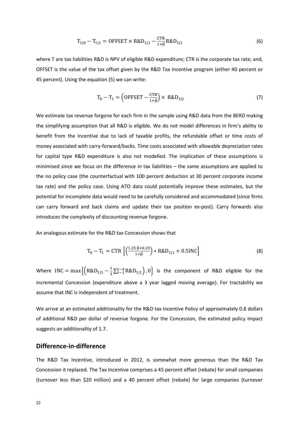$$
T_{1|0} - T_{1|1} = 0 \text{FFSET} \times \text{R&D}_{1|1} - \frac{\text{CTR}}{1+\beta} \text{R&D}_{1|1} \tag{6}
$$

where T are tax liabilities R&D is NPV of eligible R&D expenditure; CTR is the corporate tax rate; and, OFFSET is the value of the tax offset given by the R&D Tax Incentive program (either 40 percent or 45 percent). Using the equation (5) we can write:

$$
T_0 - T_1 = \left(\text{OFFSET} - \frac{\text{CTR}}{1+\beta}\right) \times \text{R&D}_{1|1} \tag{7}
$$

We estimate tax revenue forgone for each firm in the sample using R&D data from the BERD making the simplifying assumption that all R&D is eligible. We do not model differences in firm's ability to benefit from the Incentive due to lack of taxable profits, the refundable offset or time costs of money associated with carry-forward/backs. Time costs associated with allowable depreciation rates for capital type R&D expenditure is also not modelled. The implication of these assumptions is minimised since we focus on the difference in tax liabilities – the same assumptions are applied to the no policy case (the counterfactual with 100 percent deduction at 30 percent corporate income tax rate) and the policy case. Using ATO data could potentially improve these estimates, but the potential for incomplete data would need to be carefully considered and accommodated (since firms can carry forward and back claims and update their tax position ex-post). Carry forwards also introduces the complexity of discounting revenue forgone.

An analogous estimate for the R&D tax Concession shows that

$$
T_0 - T_1 = CTR \left[ \left( \frac{1.25 \beta + 0.25}{1 + \beta} \right) * R&D_{1|1} + 0.5INC \right]
$$
 (8)

Where INC =  $max\{(R\&D_{1|1} - \frac{1}{3}\sum_{t=1}^{t-4}R\&D_{1|1}), 0\}$  is the component of R&D eligible for the incremental Concession (expenditure above a 3 year lagged moving average). For tractability we assume that INC is independent of treatment.

We arrive at an estimated additionality for the R&D tax Incentive Policy of approximately 0.8 dollars of additional R&D per dollar of revenue forgone. For the Concession, the estimated policy impact suggests an additionality of 1.7.

# **Difference-in-difference**

The R&D Tax Incentive, introduced in 2012, is somewhat more generous than the R&D Tax Concession it replaced. The Tax Incentive comprises a 45 percent offset (rebate) for small companies (turnover less than \$20 million) and a 40 percent offset (rebate) for large companies (turnover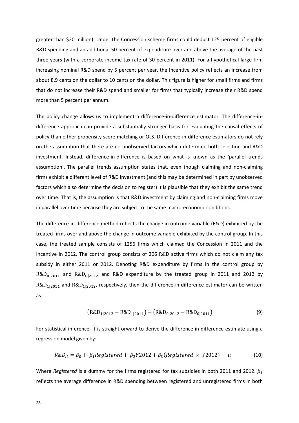greater than \$20 million). Under the Concession scheme firms could deduct 125 percent of eligible R&D spending and an additional 50 percent of expenditure over and above the average of the past three years (with a corporate income tax rate of 30 percent in 2011). For a hypothetical large firm increasing nominal R&D spend by 5 percent per year, the Incentive policy reflects an increase from about 8.9 cents on the dollar to 10 cents on the dollar. This figure is higher for small firms and firms that do not increase their R&D spend and smaller for firms that typically increase their R&D spend more than 5 percent per annum.

The policy change allows us to implement a difference-in-difference estimator. The difference-indifference approach can provide a substantially stronger basis for evaluating the causal effects of policy than either propensity score matching or OLS. Difference-in-difference estimators do not rely on the assumption that there are no unobserved factors which determine both selection and R&D investment. Instead, difference-in-difference is based on what is known as the 'parallel trends assumption'. The parallel trends assumption states that, even though claiming and non-claiming firms exhibit a different level of R&D investment (and this may be determined in part by unobserved factors which also determine the decision to register) it is plausible that they exhibit the same trend over time. That is, the assumption is that R&D investment by claiming and non-claiming firms move in parallel over time because they are subject to the same macro-economic conditions.

The difference-in-difference method reflects the change in outcome variable (R&D) exhibited by the treated firms over and above the change in outcome variable exhibited by the control group. In this case, the treated sample consists of 1256 firms which claimed the Concession in 2011 and the Incentive in 2012. The control group consists of 206 R&D active firms which do not claim any tax subsidy in either 2011 or 2012. Denoting R&D expenditure by firms in the control group by  $R&D_{0|2011}$  and  $R&D_{0|2012}$  and R&D expenditure by the treated group in 2011 and 2012 by  $R&D_{1|2011}$  and  $R&D_{1|2012}$ , respectively, then the difference-in-difference estimator can be written as:

$$
(R&D_{1|2012} - R&D_{1|2011}) - (R&D_{0|2012} - R&D_{0|2011}) \tag{9}
$$

For statistical inference, it is straightforward to derive the difference-in-difference estimate using a regression model given by:

$$
R&D_{it} = \beta_0 + \beta_1 \text{Registered} + \beta_2 \text{Y2012} + \beta_3 (\text{Registered} \times \text{Y2012}) + u \tag{10}
$$

Where *Registered* is a dummy for the firms registered for tax subsidies in both 2011 and 2012.  $\beta_1$ reflects the average difference in R&D spending between registered and unregistered firms in both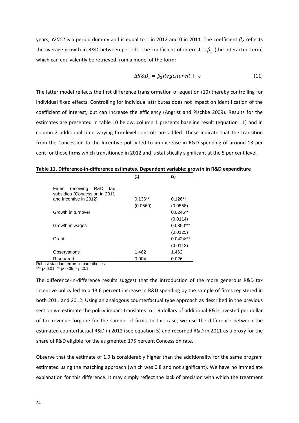years, *Y2012* is a period dummy and is equal to 1 in 2012 and 0 in 2011. The coefficient  $\beta_2$  reflects the average growth in R&D between periods. The coefficient of interest is  $\beta_3$  (the interacted term) which can equivalently be retrieved from a model of the form:

$$
\Delta R \& D_i = \beta_3 Registered + \varepsilon \tag{11}
$$

The latter model reflects the first difference transformation of equation (10) thereby controlling for individual fixed effects. Controlling for individual attributes does not impact on identification of the coefficient of interest, but can increase the efficiency (Angrist and Pischke 2009). Results for the estimates are presented in table 10 below; column 1 presents baseline result (equation 11) and in column 2 additional time varying firm-level controls are added. These indicate that the transition from the Concession to the Incentive policy led to an increase in R&D spending of around 13 per cent for those firms which transitioned in 2012 and is statistically significant at the 5 per cent level.

|                                                                       | (1)       | (2)         |
|-----------------------------------------------------------------------|-----------|-------------|
| receiving<br>R&D<br>Firms<br>tax<br>subsidies (Concession in 2011     |           |             |
| and Incentive in 2012)                                                | $0.136**$ | $0.126**$   |
|                                                                       | (0.0560)  | (0.0558)    |
| Growth in turnover                                                    |           | $0.0246**$  |
|                                                                       |           | (0.0114)    |
| Growth in wages                                                       |           | $0.0350***$ |
|                                                                       |           | (0.0125)    |
| Grant                                                                 |           | $0.0424***$ |
|                                                                       |           | (0.0112)    |
| Observations                                                          | 1,462     | 1,462       |
| R-squared<br>Determined and continued a company for a manufacturer of | 0.004     | 0.026       |
|                                                                       |           |             |

**Table 11. Difference-in-difference estimates. Dependent variable: growth in R&D expenditure**

Robust standard errors in parentheses

\*\*\* p<0.01, \*\* p<0.05, \* p<0.1

The difference-in-difference results suggest that the introduction of the more generous R&D tax Incentive policy led to a 13.6 percent increase in R&D spending by the sample of firms registered in both 2011 and 2012. Using an analogous counterfactual type approach as described in the previous section we estimate the policy impact translates to 1.9 dollars of additional R&D invested per dollar of tax revenue forgone for the sample of firms. In this case, we use the difference between the estimated counterfactual R&D in 2012 (see equation 5) and recorded R&D in 2011 as a proxy for the share of R&D eligible for the augmented 175 percent Concession rate.

Observe that the estimate of 1.9 is considerably higher than the additionality for the same program estimated using the matching approach (which was 0.8 and not significant). We have no immediate explanation for this difference. It may simply reflect the lack of precision with which the treatment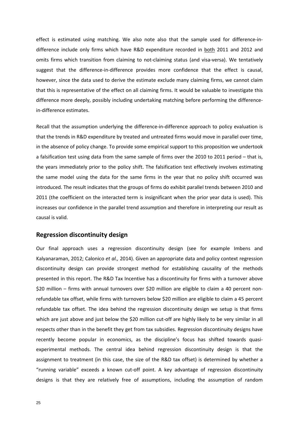effect is estimated using matching. We also note also that the sample used for difference-indifference include only firms which have R&D expenditure recorded in both 2011 and 2012 and omits firms which transition from claiming to not-claiming status (and visa-versa). We tentatively suggest that the difference-in-difference provides more confidence that the effect is causal, however, since the data used to derive the estimate exclude many claiming firms, we cannot claim that this is representative of the effect on all claiming firms. It would be valuable to investigate this difference more deeply, possibly including undertaking matching before performing the differencein-difference estimates.

Recall that the assumption underlying the difference-in-difference approach to policy evaluation is that the trends in R&D expenditure by treated and untreated firms would move in parallel over time, in the absence of policy change. To provide some empirical support to this proposition we undertook a falsification test using data from the same sample of firms over the 2010 to 2011 period – that is, the years immediately prior to the policy shift. The falsification test effectively involves estimating the same model using the data for the same firms in the year that no policy shift occurred was introduced. The result indicates that the groups of firms do exhibit parallel trends between 2010 and 2011 (the coefficient on the interacted term is insignificant when the prior year data is used). This increases our confidence in the parallel trend assumption and therefore in interpreting our result as causal is valid.

#### **Regression discontinuity design**

Our final approach uses a regression discontinuity design (see for example Imbens and Kalyanaraman, 2012; Calonico *et al.,* 2014). Given an appropriate data and policy context regression discontinuity design can provide strongest method for establishing causality of the methods presented in this report. The R&D Tax Incentive has a discontinuity for firms with a turnover above \$20 million – firms with annual turnovers over \$20 million are eligible to claim a 40 percent nonrefundable tax offset, while firms with turnovers below \$20 million are eligible to claim a 45 percent refundable tax offset. The idea behind the regression discontinuity design we setup is that firms which are just above and just below the \$20 million cut-off are highly likely to be very similar in all respects other than in the benefit they get from tax subsidies. Regression discontinuity designs have recently become popular in economics, as the discipline's focus has shifted towards quasiexperimental methods. The central idea behind regression discontinuity design is that the assignment to treatment (in this case, the size of the R&D tax offset) is determined by whether a "running variable" exceeds a known cut-off point. A key advantage of regression discontinuity designs is that they are relatively free of assumptions, including the assumption of random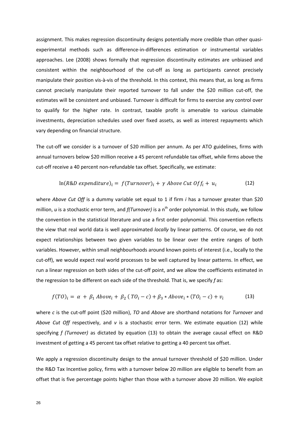assignment. This makes regression discontinuity designs potentially more credible than other quasiexperimental methods such as difference-in-differences estimation or instrumental variables approaches. Lee (2008) shows formally that regression discontinuity estimates are unbiased and consistent within the neighbourhood of the cut-off as long as participants cannot precisely manipulate their position vis-à-vis of the threshold. In this context, this means that, as long as firms cannot precisely manipulate their reported turnover to fall under the \$20 million cut-off, the estimates will be consistent and unbiased. Turnover is difficult for firms to exercise any control over to qualify for the higher rate. In contrast, taxable profit is amenable to various claimable investments, depreciation schedules used over fixed assets, as well as interest repayments which vary depending on financial structure.

The cut-off we consider is a turnover of \$20 million per annum. As per ATO guidelines, firms with annual turnovers below \$20 million receive a 45 percent refundable tax offset, while firms above the cut-off receive a 40 percent non-refundable tax offset. Specifically, we estimate:

$$
\ln(R\&D\; expenditure)_i = f(Turnover)_i + \gamma\; Above\; Cut\; Off_i + u_i \tag{12}
$$

where *Above Cut Off* is a dummy variable set equal to 1 if firm *i* has a turnover greater than \$20 million, *u* is a stochastic error term, and *f(Turnover)* is a n<sup>th</sup> order polynomial. In this study, we follow the convention in the statistical literature and use a first order polynomial. This convention reflects the view that real world data is well approximated *locally* by linear patterns. Of course, we do not expect relationships between two given variables to be linear over the entire ranges of both variables. However, within small neighbourhoods around known points of interest (i.e., locally to the cut-off), we would expect real world processes to be well captured by linear patterns. In effect, we run a linear regression on both sides of the cut-off point, and we allow the coefficients estimated in the regression to be different on each side of the threshold. That is, we specify *f* as:

$$
f(TO)_i = \alpha + \beta_1 \text{ Above}_i + \beta_2 (TO_i - c) + \beta_3 * \text{Above}_i * (TO_i - c) + v_i \tag{13}
$$

where *c* is the cut-off point (\$20 million), *TO* and *Above* are shorthand notations for *Turnover* and *Above Cut Off* respectively, and *v* is a stochastic error term. We estimate equation (12) while specifying *f (Turnover)* as dictated by equation (13) to obtain the average causal effect on R&D investment of getting a 45 percent tax offset relative to getting a 40 percent tax offset.

We apply a regression discontinuity design to the annual turnover threshold of \$20 million. Under the R&D Tax Incentive policy, firms with a turnover below 20 million are eligible to benefit from an offset that is five percentage points higher than those with a turnover above 20 million. We exploit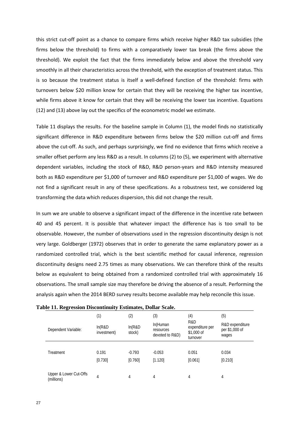this strict cut-off point as a chance to compare firms which receive higher R&D tax subsidies (the firms below the threshold) to firms with a comparatively lower tax break (the firms above the threshold). We exploit the fact that the firms immediately below and above the threshold vary smoothly in all their characteristics across the threshold, with the exception of treatment status. This is so because the treatment status is itself a well-defined function of the threshold: firms with turnovers below \$20 million know for certain that they will be receiving the higher tax incentive, while firms above it know for certain that they will be receiving the lower tax incentive. Equations (12) and (13) above lay out the specifics of the econometric model we estimate.

Table 11 displays the results. For the baseline sample in Column (1), the model finds no statistically significant difference in R&D expenditure between firms below the \$20 million cut-off and firms above the cut-off. As such, and perhaps surprisingly, we find no evidence that firms which receive a smaller offset perform any less R&D as a result. In columns (2) to (5), we experiment with alternative dependent variables, including the stock of R&D, R&D person-years and R&D intensity measured both as R&D expenditure per \$1,000 of turnover and R&D expenditure per \$1,000 of wages. We do not find a significant result in any of these specifications. As a robustness test, we considered log transforming the data which reduces dispersion, this did not change the result.

In sum we are unable to observe a significant impact of the difference in the incentive rate between 40 and 45 percent. It is possible that whatever impact the difference has is too small to be observable. However, the number of observations used in the regression discontinuity design is not very large. Goldberger (1972) observes that in order to generate the same explanatory power as a randomized controlled trial, which is the best scientific method for causal inference, regression discontinuity designs need 2.75 times as many observations. We can therefore think of the results below as equivalent to being obtained from a randomized controlled trial with approximately 16 observations. The small sample size may therefore be driving the absence of a result. Performing the analysis again when the 2014 BERD survey results become available may help reconcile this issue.

|                                      | (1)                    | (2)               | (3)                                      | (4)                                              | (5)                                        |
|--------------------------------------|------------------------|-------------------|------------------------------------------|--------------------------------------------------|--------------------------------------------|
| Dependent Variable:                  | In(R&D)<br>investment) | In(R&D)<br>stock) | In(Human<br>resources<br>devoted to R&D) | R&D<br>expenditure per<br>\$1,000 of<br>turnover | R&D expenditure<br>per \$1,000 of<br>wages |
|                                      |                        |                   |                                          |                                                  |                                            |
| Treatment                            | 0.191                  | $-0.793$          | $-0.053$                                 | 0.051                                            | 0.034                                      |
|                                      | [0.730]                | [0.760]           | [1.120]                                  | [0.061]                                          | [0.210]                                    |
|                                      |                        |                   |                                          |                                                  |                                            |
| Upper & Lower Cut-Offs<br>(millions) | 4                      | 4                 | 4                                        | 4                                                | 4                                          |

|  | Table 11. Regression Discontinuity Estimates, Dollar Scale. |  |
|--|-------------------------------------------------------------|--|
|  |                                                             |  |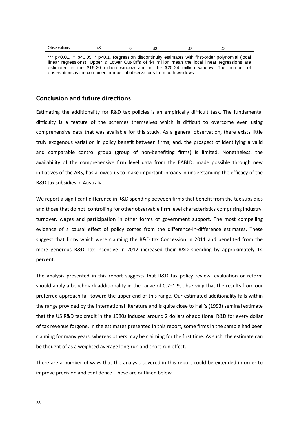| $\sim$<br>Observations<br>. | . | n r<br>эc | . . |  |  |  |
|-----------------------------|---|-----------|-----|--|--|--|
|-----------------------------|---|-----------|-----|--|--|--|

\*\*\* p<0.01, \*\* p<0.05, \* p<0.1. Regression discontinuity estimates with first-order polynomial (local linear regressions). Upper & Lower Cut-Offs of \$4 million mean the local linear regressions are estimated in the \$16-20 million window and in the \$20-24 million window. The number of observations is the combined number of observations from both windows.

# **Conclusion and future directions**

Estimating the additionality for R&D tax policies is an empirically difficult task. The fundamental difficulty is a feature of the schemes themselves which is difficult to overcome even using comprehensive data that was available for this study. As a general observation, there exists little truly exogenous variation in policy benefit between firms; and, the prospect of identifying a valid and comparable control group (group of non-benefiting firms) is limited. Nonetheless, the availability of the comprehensive firm level data from the EABLD, made possible through new initiatives of the ABS, has allowed us to make important inroads in understanding the efficacy of the R&D tax subsidies in Australia.

We report a significant difference in R&D spending between firms that benefit from the tax subsidies and those that do not, controlling for other observable firm level characteristics comprising industry, turnover, wages and participation in other forms of government support. The most compelling evidence of a causal effect of policy comes from the difference-in-difference estimates. These suggest that firms which were claiming the R&D tax Concession in 2011 and benefited from the more generous R&D Tax Incentive in 2012 increased their R&D spending by approximately 14 percent.

The analysis presented in this report suggests that R&D tax policy review, evaluation or reform should apply a benchmark additionality in the range of 0.7–1.9, observing that the results from our preferred approach fall toward the upper end of this range. Our estimated additionality falls within the range provided by the international literature and is quite close to Hall's (1993) seminal estimate that the US R&D tax credit in the 1980s induced around 2 dollars of additional R&D for every dollar of tax revenue forgone. In the estimates presented in this report, some firms in the sample had been claiming for many years, whereas others may be claiming for the first time. As such, the estimate can be thought of as a weighted average long-run and short-run effect.

There are a number of ways that the analysis covered in this report could be extended in order to improve precision and confidence. These are outlined below.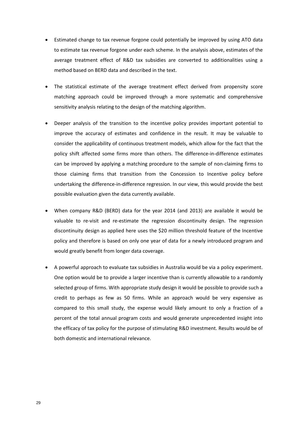- Estimated change to tax revenue forgone could potentially be improved by using ATO data to estimate tax revenue forgone under each scheme. In the analysis above, estimates of the average treatment effect of R&D tax subsidies are converted to additionalities using a method based on BERD data and described in the text.
- The statistical estimate of the average treatment effect derived from propensity score matching approach could be improved through a more systematic and comprehensive sensitivity analysis relating to the design of the matching algorithm.
- Deeper analysis of the transition to the incentive policy provides important potential to improve the accuracy of estimates and confidence in the result. It may be valuable to consider the applicability of continuous treatment models, which allow for the fact that the policy shift affected some firms more than others. The difference-in-difference estimates can be improved by applying a matching procedure to the sample of non-claiming firms to those claiming firms that transition from the Concession to Incentive policy before undertaking the difference-in-difference regression. In our view, this would provide the best possible evaluation given the data currently available.
- When company R&D (BERD) data for the year 2014 (and 2013) are available it would be valuable to re-visit and re-estimate the regression discontinuity design. The regression discontinuity design as applied here uses the \$20 million threshold feature of the Incentive policy and therefore is based on only one year of data for a newly introduced program and would greatly benefit from longer data coverage.
- A powerful approach to evaluate tax subsidies in Australia would be via a policy experiment. One option would be to provide a larger incentive than is currently allowable to a randomly selected group of firms. With appropriate study design it would be possible to provide such a credit to perhaps as few as 50 firms. While an approach would be very expensive as compared to this small study, the expense would likely amount to only a fraction of a percent of the total annual program costs and would generate unprecedented insight into the efficacy of tax policy for the purpose of stimulating R&D investment. Results would be of both domestic and international relevance.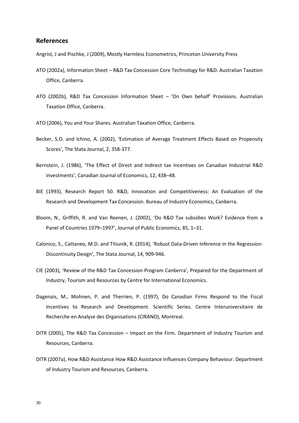## **References**

Angrist, J and Pischke, J (2009), Mostly Harmless Econometrics, Princeton University Press

- ATO (2002a), Information Sheet R&D Tax Concession Core Technology for R&D. Australian Taxation Office, Canberra.
- ATO (2002b), R&D Tax Concession Information Sheet 'On Own behalf' Provisions. Australian Taxation Office, Canberra.
- ATO (2006), You and Your Shares. Australian Taxation Office, Canberra.
- Becker, S.O. and Ichino, A. (2002), 'Estimation of Average Treatment Effects Based on Propensity Scores', The Stata Journal, 2, 358-377.
- Bernstein, J. (1986), 'The Effect of Direct and Indirect tax Incentives on Canadian Industrial R&D investments', Canadian Journal of Economics, 12, 438–48.
- BIE (1993), Research Report 50. R&D, Innovation and Competitiveness: An Evaluation of the Research and Development Tax Concession. Bureau of Industry Economics, Canberra.
- Bloom, N., Griffith, R. and Van Reenen, J. (2002), 'Do R&D Tax subsidies Work? Evidence from a Panel of Countries 1979–1997', Journal of Public Economics, 85, 1–31.
- Calonico, S., Cattaneo, M.D. and Titiunik, R. (2014), 'Robust Data-Driven Inference in the Regression-Discontinuity Design', The Stata Journal, 14, 909-946.
- CIE (2003), 'Review of the R&D Tax Concession Program Canberra', Prepared for the Department of Industry, Tourism and Resources by Centre for International Economics.
- Dagenais, M., Mohnen, P. and Therrien, P. (1997), Do Canadian Firms Respond to the Fiscal Incentives to Research and Development. Scientific Series. Centre Interuniversitaire de Recherche en Analyse des Organisations (CIRANO), Montreal.
- DITR (2005), The R&D Tax Concession Impact on the Firm. Department of Industry Tourism and Resources, Canberra.
- DITR (2007a), How R&D Assistance How R&D Assistance Influences Company Behaviour. Department of Industry Tourism and Resources, Canberra.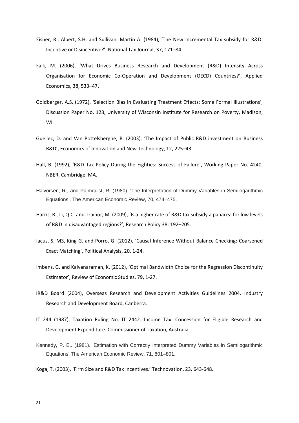- Eisner, R., Albert, S.H. and Sullivan, Martin A. (1984), 'The New Incremental Tax subsidy for R&D: Incentive or Disincentive?', National Tax Journal, 37, 171–84.
- Falk, M. (2006), 'What Drives Business Research and Development (R&D) Intensity Across Organisation for Economic Co-Operation and Development (OECD) Countries?', Applied Economics, 38, 533–47.
- Goldberger, A.S. (1972), 'Selection Bias in Evaluating Treatment Effects: Some Formal Illustrations', Discussion Paper No. 123, University of Wisconsin Institute for Research on Poverty, Madison, WI.
- Guellec, D. and Van Pottelsberghe, B. (2003), 'The Impact of Public R&D investment on Business R&D', Economics of Innovation and New Technology, 12, 225–43.
- Hall, B. (1992), 'R&D Tax Policy During the Eighties: Success of Failure', Working Paper No. 4240, NBER, Cambridge, MA.
- Halvorsen, R., and Palmquist, R. (1980), 'The Interpretation of Dummy Variables in Semilogarithmic Equations', The American Economic Review, 70, 474–475.
- Harris, R., Li, Q.C. and Trainor, M. (2009), 'Is a higher rate of R&D tax subsidy a panacea for low levels of R&D in disadvantaged regions?', Research Policy 38: 192–205.
- Iacus, S. M3, King G. and Porro, G. (2012), 'Causal Inference Without Balance Checking: Coarsened Exact Matching', Political Analysis, 20, 1-24.
- Imbens, G. and Kalyanaraman, K. (2012), 'Optimal Bandwidth Choice for the Regression Discontinuity Estimator', Review of Economic Studies, 79, 1-27.
- IR&D Board (2004), Overseas Research and Development Activities Guidelines 2004. Industry Research and Development Board, Canberra.
- IT 244 (1987), Taxation Ruling No. IT 2442. Income Tax: Concession for Eligible Research and Development Expenditure. Commissioner of Taxation, Australia.
- Kennedy, P. E.. (1981). 'Estimation with Correctly Interpreted Dummy Variables in Semilogarithmic Equations' The American Economic Review, 71, 801–801.
- Koga, T. (2003), 'Firm Size and R&D Tax Incentives.' Technovation, 23, 643-648.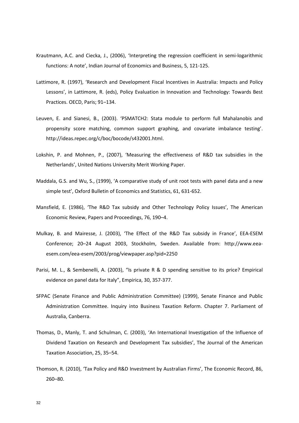- Krautmann, A.C. and Ciecka, J., (2006), 'Interpreting the regression coefficient in semi-logarithmic functions: A note', Indian Journal of Economics and Business, 5, 121-125.
- Lattimore, R. (1997), 'Research and Development Fiscal Incentives in Australia: Impacts and Policy Lessons', in Lattimore, R. (eds), Policy Evaluation in Innovation and Technology: Towards Best Practices. OECD, Paris; 91–134.
- Leuven, E. and Sianesi, B., (2003). 'PSMATCH2: Stata module to perform full Mahalanobis and propensity score matching, common support graphing, and covariate imbalance testing'. http://ideas.repec.org/c/boc/bocode/s432001.html.
- Lokshin, P. and Mohnen, P., (2007), 'Measuring the effectiveness of R&D tax subsidies in the Netherlands', United Nations University Merit Working Paper.
- Maddala, G.S. and Wu, S., (1999), 'A comparative study of unit root tests with panel data and a new simple test', Oxford Bulletin of Economics and Statistics, 61, 631-652.
- Mansfield, E. (1986), 'The R&D Tax subsidy and Other Technology Policy Issues', The American Economic Review, Papers and Proceedings, 76, 190–4.
- Mulkay, B. and Mairesse, J. (2003), 'The Effect of the R&D Tax subsidy in France', EEA-ESEM Conference; 20–24 August 2003, Stockholm, Sweden. Available from: http://www.eeaesem.com/eea-esem/2003/prog/viewpaper.asp?pid=2250
- Parisi, M. L., & Sembenelli, A. (2003), "Is private R & D spending sensitive to its price? Empirical evidence on panel data for Italy", Empirica, 30, 357-377.
- SFPAC (Senate Finance and Public Administration Committee) (1999), Senate Finance and Public Administration Committee. Inquiry into Business Taxation Reform. Chapter 7. Parliament of Australia, Canberra.
- Thomas, D., Manly, T. and Schulman, C. (2003), 'An International Investigation of the Influence of Dividend Taxation on Research and Development Tax subsidies', The Journal of the American Taxation Association, 25, 35–54.
- Thomson, R. (2010), 'Tax Policy and R&D Investment by Australian Firms', The Economic Record, 86, 260–80.